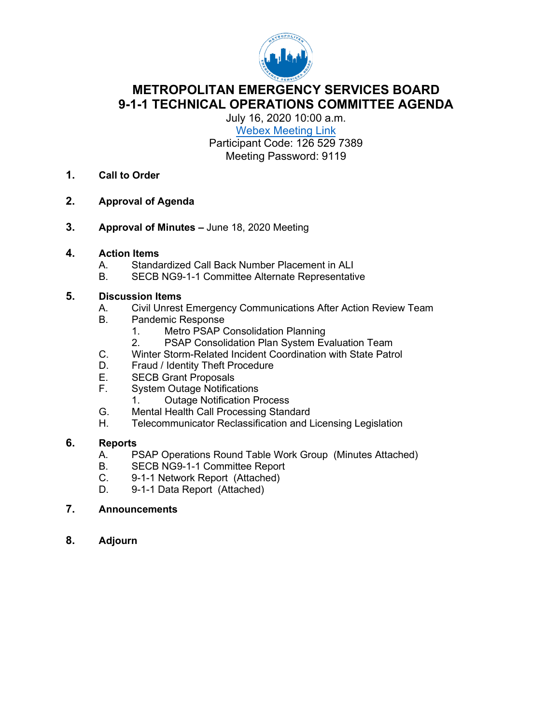

**METROPOLITAN EMERGENCY SERVICES BOARD 9-1-1 TECHNICAL OPERATIONS COMMITTEE AGENDA**

July 16, 2020 10:00 a.m. Webex [Meeting Link](https://url.emailprotection.link/?bw0N6HUYclFSl0UQwoCDBwDQF7pbOPsL8eO2ZGL-HqPHbClS8sOvLfxHO5gjvHjUfjFNyuUBjG98nGzWjD8vaPHv81zDZwcRlBXO1m7z5HYbVrPyZbMBJAf0dApu5Ca7UDtwGZRB1PbDbKGRwkafZmFu-E4ErnMsg2OPXGozhkg5aHuGi9ux73GwuITtw5cxFIeTW0gjQbDECiguYAuprKw%7E%7E)

Participant Code: 126 529 7389 Meeting Password: 9119

- **1. Call to Order**
- **2. Approval of Agenda**
- **3. Approval of Minutes** June 18, 2020 Meeting

### **4. Action Items**

- A. Standardized Call Back Number Placement in ALI<br>B. SECB NG9-1-1 Committee Alternate Representati
- SECB NG9-1-1 Committee Alternate Representative

# **5. Discussion Items**

- Civil Unrest Emergency Communications After Action Review Team
- B. Pandemic Response
	- 1. Metro PSAP Consolidation Planning<br>2. PSAP Consolidation Plan System Ev
	- PSAP Consolidation Plan System Evaluation Team
- C. Winter Storm-Related Incident Coordination with State Patrol
- D. Fraud / Identity Theft Procedure<br>E. SECB Grant Proposals
- E. SECB Grant Proposals<br>F. System Outage Notifica
- **System Outage Notifications** 
	- 1. Outage Notification Process
- G. Mental Health Call Processing Standard
- H. Telecommunicator Reclassification and Licensing Legislation

### **6. Reports**

- A. PSAP Operations Round Table Work Group (Minutes Attached)<br>B. SECB NG9-1-1 Committee Report
- B. SECB NG9-1-1 Committee Report<br>C. 9-1-1 Network Report (Attached)
- 9-1-1 Network Report (Attached)
- D. 9-1-1 Data Report (Attached)
- **7. Announcements**
- **8. Adjourn**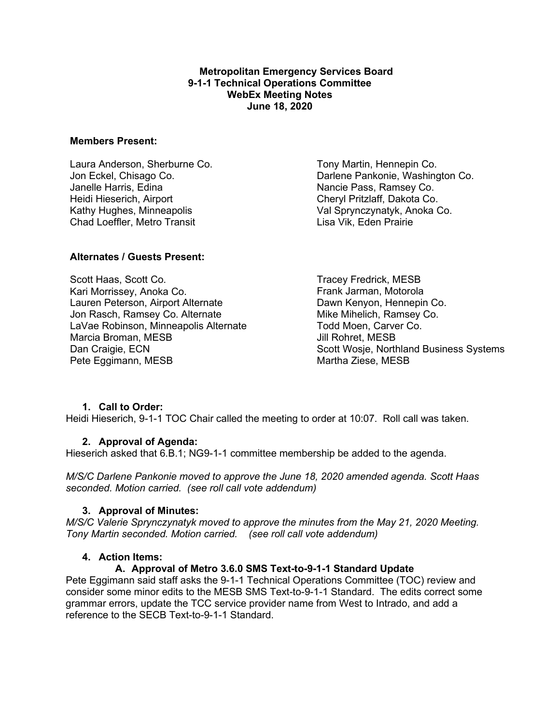### **Metropolitan Emergency Services Board 9-1-1 Technical Operations Committee WebEx Meeting Notes June 18, 2020**

### **Members Present:**

Laura Anderson, Sherburne Co. Jon Eckel, Chisago Co. Janelle Harris, Edina Heidi Hieserich, Airport Kathy Hughes, Minneapolis Chad Loeffler, Metro Transit

**Alternates / Guests Present:**

Scott Haas, Scott Co. Kari Morrissey, Anoka Co. Lauren Peterson, Airport Alternate Jon Rasch, Ramsey Co. Alternate LaVae Robinson, Minneapolis Alternate Marcia Broman, MESB Dan Craigie, ECN Pete Eggimann, MESB

Tony Martin, Hennepin Co. Darlene Pankonie, Washington Co. Nancie Pass, Ramsey Co. Cheryl Pritzlaff, Dakota Co. Val Sprynczynatyk, Anoka Co. Lisa Vik, Eden Prairie

Tracey Fredrick, MESB Frank Jarman, Motorola Dawn Kenyon, Hennepin Co. Mike Mihelich, Ramsey Co. Todd Moen, Carver Co. Jill Rohret, MESB Scott Wosje, Northland Business Systems Martha Ziese, MESB

### **1. Call to Order:**

Heidi Hieserich, 9-1-1 TOC Chair called the meeting to order at 10:07. Roll call was taken.

### **2. Approval of Agenda:**

Hieserich asked that 6.B.1; NG9-1-1 committee membership be added to the agenda.

*M/S/C Darlene Pankonie moved to approve the June 18, 2020 amended agenda. Scott Haas seconded. Motion carried. (see roll call vote addendum)*

### **3. Approval of Minutes:**

*M/S/C Valerie Sprynczynatyk moved to approve the minutes from the May 21, 2020 Meeting. Tony Martin seconded. Motion carried. (see roll call vote addendum)*

### **4. Action Items:**

### **A. Approval of Metro 3.6.0 SMS Text-to-9-1-1 Standard Update**

Pete Eggimann said staff asks the 9-1-1 Technical Operations Committee (TOC) review and consider some minor edits to the MESB SMS Text-to-9-1-1 Standard. The edits correct some grammar errors, update the TCC service provider name from West to Intrado, and add a reference to the SECB Text-to-9-1-1 Standard.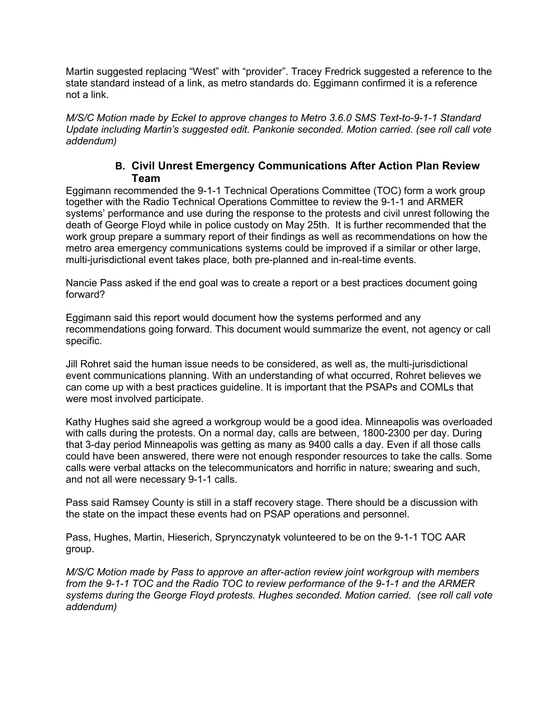Martin suggested replacing "West" with "provider". Tracey Fredrick suggested a reference to the state standard instead of a link, as metro standards do. Eggimann confirmed it is a reference not a link.

*M/S/C Motion made by Eckel to approve changes to Metro 3.6.0 SMS Text-to-9-1-1 Standard Update including Martin's suggested edit. Pankonie seconded. Motion carried. (see roll call vote addendum)*

### **B. Civil Unrest Emergency Communications After Action Plan Review Team**

Eggimann recommended the 9-1-1 Technical Operations Committee (TOC) form a work group together with the Radio Technical Operations Committee to review the 9-1-1 and ARMER systems' performance and use during the response to the protests and civil unrest following the death of George Floyd while in police custody on May 25th. It is further recommended that the work group prepare a summary report of their findings as well as recommendations on how the metro area emergency communications systems could be improved if a similar or other large, multi-jurisdictional event takes place, both pre-planned and in-real-time events.

Nancie Pass asked if the end goal was to create a report or a best practices document going forward?

Eggimann said this report would document how the systems performed and any recommendations going forward. This document would summarize the event, not agency or call specific.

Jill Rohret said the human issue needs to be considered, as well as, the multi-jurisdictional event communications planning. With an understanding of what occurred, Rohret believes we can come up with a best practices guideline. It is important that the PSAPs and COMLs that were most involved participate.

Kathy Hughes said she agreed a workgroup would be a good idea. Minneapolis was overloaded with calls during the protests. On a normal day, calls are between, 1800-2300 per day. During that 3-day period Minneapolis was getting as many as 9400 calls a day. Even if all those calls could have been answered, there were not enough responder resources to take the calls. Some calls were verbal attacks on the telecommunicators and horrific in nature; swearing and such, and not all were necessary 9-1-1 calls.

Pass said Ramsey County is still in a staff recovery stage. There should be a discussion with the state on the impact these events had on PSAP operations and personnel.

Pass, Hughes, Martin, Hieserich, Sprynczynatyk volunteered to be on the 9-1-1 TOC AAR group.

*M/S/C Motion made by Pass to approve an after-action review joint workgroup with members from the 9-1-1 TOC and the Radio TOC to review performance of the 9-1-1 and the ARMER systems during the George Floyd protests. Hughes seconded. Motion carried. (see roll call vote addendum)*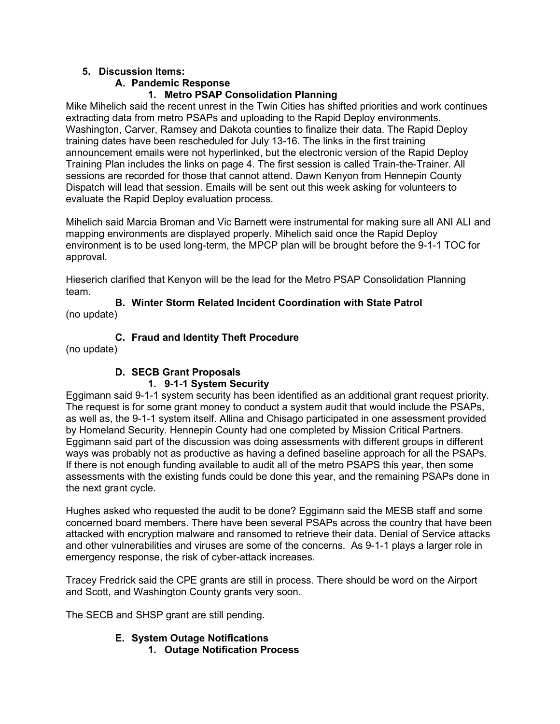### **5. Discussion Items:**

### **A. Pandemic Response**

### **1. Metro PSAP Consolidation Planning**

Mike Mihelich said the recent unrest in the Twin Cities has shifted priorities and work continues extracting data from metro PSAPs and uploading to the Rapid Deploy environments. Washington, Carver, Ramsey and Dakota counties to finalize their data. The Rapid Deploy training dates have been rescheduled for July 13-16. The links in the first training announcement emails were not hyperlinked, but the electronic version of the Rapid Deploy Training Plan includes the links on page 4. The first session is called Train-the-Trainer. All sessions are recorded for those that cannot attend. Dawn Kenyon from Hennepin County Dispatch will lead that session. Emails will be sent out this week asking for volunteers to evaluate the Rapid Deploy evaluation process.

Mihelich said Marcia Broman and Vic Barnett were instrumental for making sure all ANI ALI and mapping environments are displayed properly. Mihelich said once the Rapid Deploy environment is to be used long-term, the MPCP plan will be brought before the 9-1-1 TOC for approval.

Hieserich clarified that Kenyon will be the lead for the Metro PSAP Consolidation Planning team.

**B. Winter Storm Related Incident Coordination with State Patrol** (no update)

**C. Fraud and Identity Theft Procedure**

(no update)

# **D. SECB Grant Proposals**

### **1. 9-1-1 System Security**

Eggimann said 9-1-1 system security has been identified as an additional grant request priority. The request is for some grant money to conduct a system audit that would include the PSAPs, as well as, the 9-1-1 system itself. Allina and Chisago participated in one assessment provided by Homeland Security. Hennepin County had one completed by Mission Critical Partners. Eggimann said part of the discussion was doing assessments with different groups in different ways was probably not as productive as having a defined baseline approach for all the PSAPs. If there is not enough funding available to audit all of the metro PSAPS this year, then some assessments with the existing funds could be done this year, and the remaining PSAPs done in the next grant cycle.

Hughes asked who requested the audit to be done? Eggimann said the MESB staff and some concerned board members. There have been several PSAPs across the country that have been attacked with encryption malware and ransomed to retrieve their data. Denial of Service attacks and other vulnerabilities and viruses are some of the concerns. As 9-1-1 plays a larger role in emergency response, the risk of cyber-attack increases.

Tracey Fredrick said the CPE grants are still in process. There should be word on the Airport and Scott, and Washington County grants very soon.

The SECB and SHSP grant are still pending.

# **E. System Outage Notifications**

**1. Outage Notification Process**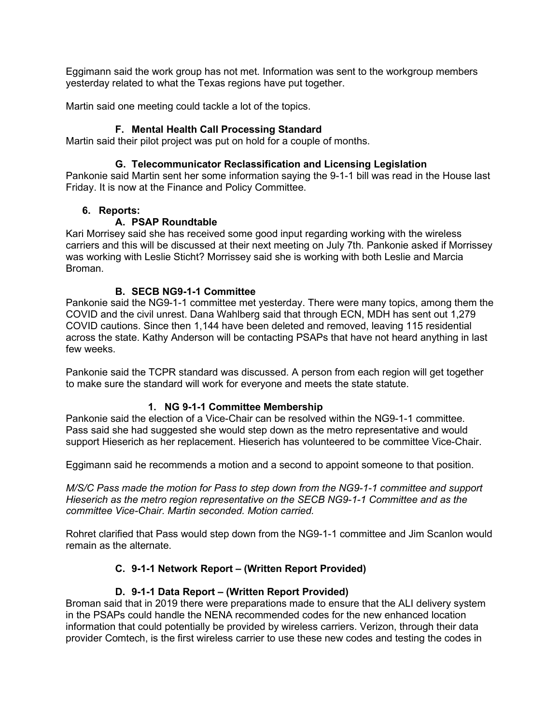Eggimann said the work group has not met. Information was sent to the workgroup members yesterday related to what the Texas regions have put together.

Martin said one meeting could tackle a lot of the topics.

### **F. Mental Health Call Processing Standard**

Martin said their pilot project was put on hold for a couple of months.

### **G. Telecommunicator Reclassification and Licensing Legislation**

Pankonie said Martin sent her some information saying the 9-1-1 bill was read in the House last Friday. It is now at the Finance and Policy Committee.

### **6. Reports:**

### **A. PSAP Roundtable**

Kari Morrisey said she has received some good input regarding working with the wireless carriers and this will be discussed at their next meeting on July 7th. Pankonie asked if Morrissey was working with Leslie Sticht? Morrissey said she is working with both Leslie and Marcia Broman.

### **B. SECB NG9-1-1 Committee**

Pankonie said the NG9-1-1 committee met yesterday. There were many topics, among them the COVID and the civil unrest. Dana Wahlberg said that through ECN, MDH has sent out 1,279 COVID cautions. Since then 1,144 have been deleted and removed, leaving 115 residential across the state. Kathy Anderson will be contacting PSAPs that have not heard anything in last few weeks.

Pankonie said the TCPR standard was discussed. A person from each region will get together to make sure the standard will work for everyone and meets the state statute.

### **1. NG 9-1-1 Committee Membership**

Pankonie said the election of a Vice-Chair can be resolved within the NG9-1-1 committee. Pass said she had suggested she would step down as the metro representative and would support Hieserich as her replacement. Hieserich has volunteered to be committee Vice-Chair.

Eggimann said he recommends a motion and a second to appoint someone to that position.

*M/S/C Pass made the motion for Pass to step down from the NG9-1-1 committee and support Hieserich as the metro region representative on the SECB NG9-1-1 Committee and as the committee Vice-Chair. Martin seconded. Motion carried.*

Rohret clarified that Pass would step down from the NG9-1-1 committee and Jim Scanlon would remain as the alternate.

### **C. 9-1-1 Network Report – (Written Report Provided)**

### **D. 9-1-1 Data Report – (Written Report Provided)**

Broman said that in 2019 there were preparations made to ensure that the ALI delivery system in the PSAPs could handle the NENA recommended codes for the new enhanced location information that could potentially be provided by wireless carriers. Verizon, through their data provider Comtech, is the first wireless carrier to use these new codes and testing the codes in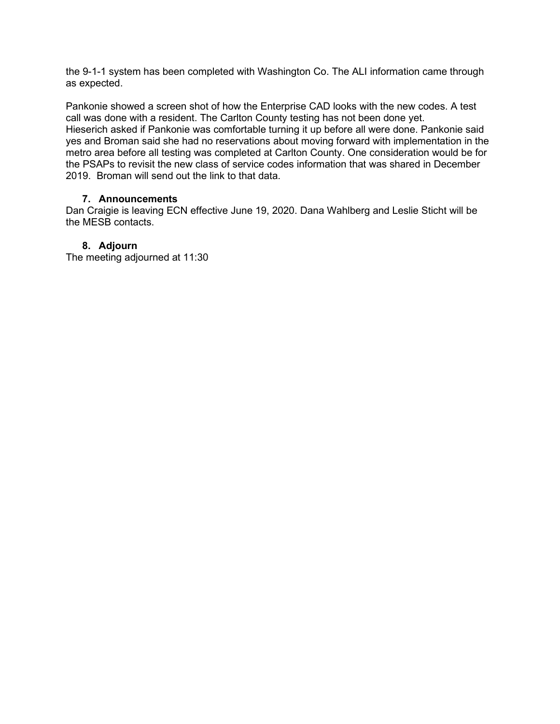the 9-1-1 system has been completed with Washington Co. The ALI information came through as expected.

Pankonie showed a screen shot of how the Enterprise CAD looks with the new codes. A test call was done with a resident. The Carlton County testing has not been done yet. Hieserich asked if Pankonie was comfortable turning it up before all were done. Pankonie said yes and Broman said she had no reservations about moving forward with implementation in the metro area before all testing was completed at Carlton County. One consideration would be for the PSAPs to revisit the new class of service codes information that was shared in December 2019. Broman will send out the link to that data.

### **7. Announcements**

Dan Craigie is leaving ECN effective June 19, 2020. Dana Wahlberg and Leslie Sticht will be the MESB contacts.

### **8. Adjourn**

The meeting adjourned at 11:30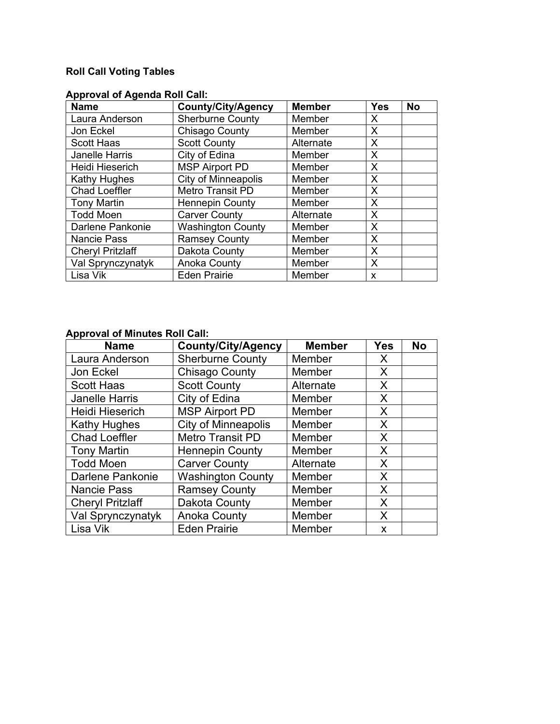# **Roll Call Voting Tables**

| <b>Name</b>             | <b>County/City/Agency</b>  | <b>Member</b> | <b>Yes</b> | <b>No</b> |
|-------------------------|----------------------------|---------------|------------|-----------|
| Laura Anderson          | <b>Sherburne County</b>    | Member        | X          |           |
| Jon Eckel               | Chisago County             | Member        | X          |           |
| <b>Scott Haas</b>       | <b>Scott County</b>        | Alternate     | X          |           |
| <b>Janelle Harris</b>   | City of Edina              | Member        | X          |           |
| Heidi Hieserich         | <b>MSP Airport PD</b>      | Member        | X          |           |
| Kathy Hughes            | <b>City of Minneapolis</b> | Member        | X          |           |
| <b>Chad Loeffler</b>    | Metro Transit PD           | Member        | $\sf X$    |           |
| <b>Tony Martin</b>      | <b>Hennepin County</b>     | Member        | X          |           |
| <b>Todd Moen</b>        | <b>Carver County</b>       | Alternate     | X          |           |
| Darlene Pankonie        | <b>Washington County</b>   | Member        | $\sf X$    |           |
| <b>Nancie Pass</b>      | <b>Ramsey County</b>       | Member        | X          |           |
| <b>Cheryl Pritzlaff</b> | Dakota County              | Member        | $\sf X$    |           |
| Val Sprynczynatyk       | <b>Anoka County</b>        | Member        | X          |           |
| Lisa Vik                | <b>Eden Prairie</b>        | Member        | X          |           |

# **Approval of Agenda Roll Call:**

### **Approval of Minutes Roll Call:**

| <b>Name</b>             | <b>County/City/Agency</b>  | <b>Member</b> | <b>Yes</b> | <b>No</b> |
|-------------------------|----------------------------|---------------|------------|-----------|
| Laura Anderson          | <b>Sherburne County</b>    | Member        | X          |           |
| Jon Eckel               | Chisago County             | Member        | X          |           |
| <b>Scott Haas</b>       | <b>Scott County</b>        | Alternate     | X          |           |
| <b>Janelle Harris</b>   | City of Edina              | Member        | X          |           |
| <b>Heidi Hieserich</b>  | <b>MSP Airport PD</b>      | Member        | X          |           |
| <b>Kathy Hughes</b>     | <b>City of Minneapolis</b> | Member        | X          |           |
| <b>Chad Loeffler</b>    | <b>Metro Transit PD</b>    | Member        | X          |           |
| <b>Tony Martin</b>      | <b>Hennepin County</b>     | Member        | X          |           |
| <b>Todd Moen</b>        | <b>Carver County</b>       | Alternate     | X          |           |
| <b>Darlene Pankonie</b> | <b>Washington County</b>   | Member        | X          |           |
| <b>Nancie Pass</b>      | <b>Ramsey County</b>       | Member        | X          |           |
| <b>Cheryl Pritzlaff</b> | Dakota County              | Member        | X          |           |
| Val Sprynczynatyk       | <b>Anoka County</b>        | Member        | X          |           |
| Lisa Vik                | <b>Eden Prairie</b>        | Member        | X          |           |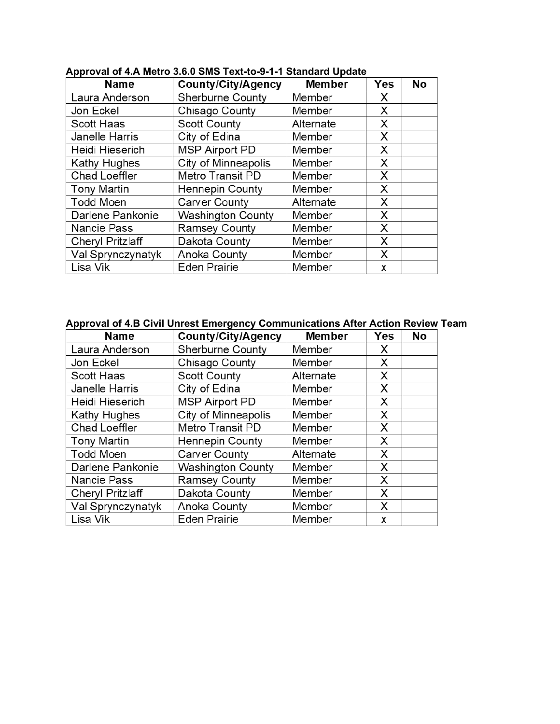| <b>Name</b>             | <b>County/City/Agency</b> | <b>Member</b> | <b>Yes</b> | <b>No</b> |
|-------------------------|---------------------------|---------------|------------|-----------|
| Laura Anderson          | Sherburne County          | Member        | X          |           |
| Jon Eckel               | Chisago County            | Member        | X          |           |
| Scott Haas              | <b>Scott County</b>       | Alternate     | Х          |           |
| Janelle Harris          | City of Edina             | Member        | X          |           |
| Heidi Hieserich         | <b>MSP Airport PD</b>     | Member        | Χ          |           |
| Kathy Hughes            | City of Minneapolis       | Member        | X          |           |
| Chad Loeffler           | Metro Transit PD          | Member        | X          |           |
| <b>Tony Martin</b>      | Hennepin County           | Member        | Х          |           |
| <b>Todd Moen</b>        | Carver County             | Alternate     | X          |           |
| Darlene Pankonie        | <b>Washington County</b>  | Member        | X          |           |
| <b>Nancie Pass</b>      | Ramsey County             | Member        | X          |           |
| <b>Cheryl Pritzlaff</b> | Dakota County             | Member        | X          |           |
| Val Sprynczynatyk       | Anoka County              | Member        | X          |           |
| Lisa Vik                | <b>Eden Prairie</b>       | Member        | X          |           |

### **Approval of 4.A Metro 3.6.0 SMS Text-to-9-1-1 Standard Update**

### **Approval of 4.B Civil Unrest Emergency Communications After Action Review Team**

| <b>Name</b>             | County/City/Agency       | <b>Member</b> | Yes | <b>No</b> |
|-------------------------|--------------------------|---------------|-----|-----------|
| Laura Anderson          | Sherburne County         | Member        | X   |           |
| Jon Eckel               | Chisago County           | Member        | X   |           |
| Scott Haas              | <b>Scott County</b>      | Alternate     | X   |           |
| Janelle Harris          | City of Edina            | Member        | X   |           |
| Heidi Hieserich         | <b>MSP Airport PD</b>    | Member        | X   |           |
| Kathy Hughes            | City of Minneapolis      | Member        | X   |           |
| Chad Loeffler           | Metro Transit PD         | Member        | X   |           |
| <b>Tony Martin</b>      | <b>Hennepin County</b>   | Member        | X   |           |
| <b>Todd Moen</b>        | <b>Carver County</b>     | Alternate     | X   |           |
| Darlene Pankonie        | <b>Washington County</b> | Member        | X   |           |
| <b>Nancie Pass</b>      | Ramsey County            | Member        | X   |           |
| <b>Cheryl Pritzlaff</b> | Dakota County            | Member        | X   |           |
| Val Sprynczynatyk       | Anoka County             | Member        | X   |           |
| Lisa Vik                | <b>Eden Prairie</b>      | Member        | x   |           |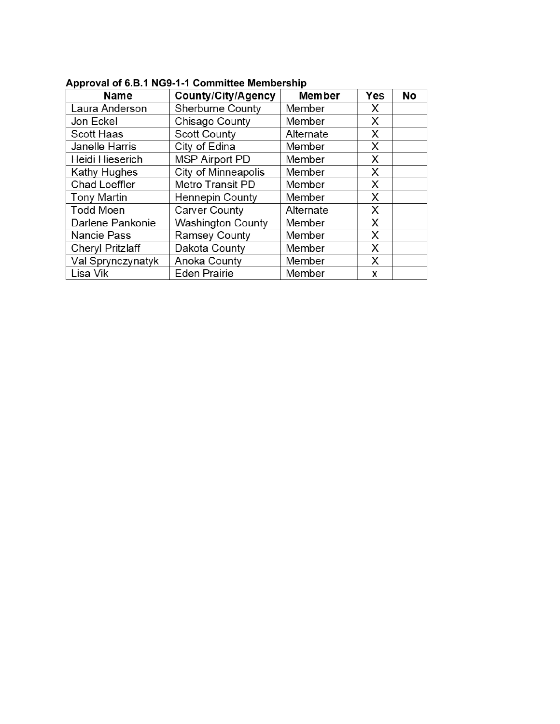| <b>Name</b>             | <b>County/City/Agency</b> | <b>Member</b> | <b>Yes</b> | No |
|-------------------------|---------------------------|---------------|------------|----|
| Laura Anderson          | Sherburne County          | Member        | X          |    |
| Jon Eckel               | Chisago County            | Member        | X          |    |
| Scott Haas              | <b>Scott County</b>       | Alternate     | X          |    |
| Janelle Harris          | City of Edina             | Member        | X          |    |
| Heidi Hieserich         | <b>MSP Airport PD</b>     | Member        | Х          |    |
| Kathy Hughes            | City of Minneapolis       | Member        | X          |    |
| <b>Chad Loeffler</b>    | Metro Transit PD          | Member        | X          |    |
| <b>Tony Martin</b>      | Hennepin County           | Member        | X          |    |
| <b>Todd Moen</b>        | Carver County             | Alternate     | X          |    |
| Darlene Pankonie        | <b>Washington County</b>  | Member        | X          |    |
| Nancie Pass             | Ramsey County             | Member        | X          |    |
| <b>Cheryl Pritzlaff</b> | Dakota County             | Member        | X          |    |
| Val Sprynczynatyk       | Anoka County              | Member        | X          |    |
| Lisa Vik                | <b>Eden Prairie</b>       | Member        | x          |    |

### **Approval of 6.B.1 NG9-1-1 Committee Membership**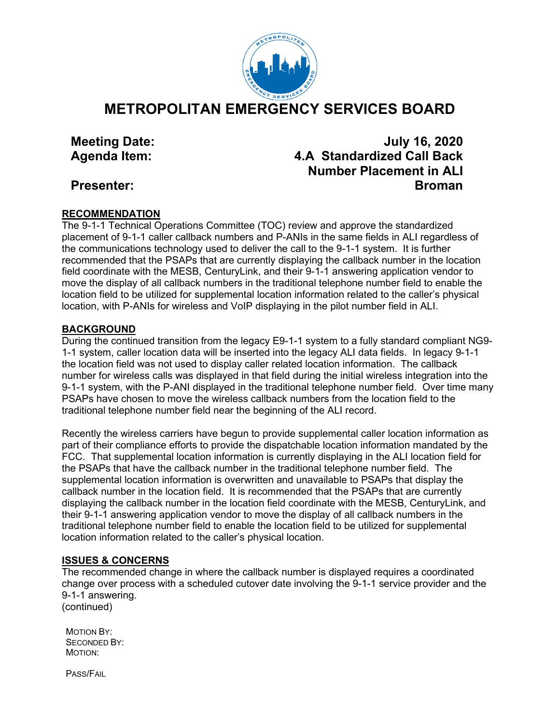

**METROPOLITAN EMERGENCY SERVICES BOARD**

# **Meeting Date: July 16, 2020 Agenda Item: 4.A Standardized Call Back Number Placement in ALI Presenter: Broman**

### **RECOMMENDATION**

The 9-1-1 Technical Operations Committee (TOC) review and approve the standardized placement of 9-1-1 caller callback numbers and P-ANIs in the same fields in ALI regardless of the communications technology used to deliver the call to the 9-1-1 system. It is further recommended that the PSAPs that are currently displaying the callback number in the location field coordinate with the MESB, CenturyLink, and their 9-1-1 answering application vendor to move the display of all callback numbers in the traditional telephone number field to enable the location field to be utilized for supplemental location information related to the caller's physical location, with P-ANIs for wireless and VoIP displaying in the pilot number field in ALI.

### **BACKGROUND**

During the continued transition from the legacy E9-1-1 system to a fully standard compliant NG9- 1-1 system, caller location data will be inserted into the legacy ALI data fields. In legacy 9-1-1 the location field was not used to display caller related location information. The callback number for wireless calls was displayed in that field during the initial wireless integration into the 9-1-1 system, with the P-ANI displayed in the traditional telephone number field. Over time many PSAPs have chosen to move the wireless callback numbers from the location field to the traditional telephone number field near the beginning of the ALI record.

Recently the wireless carriers have begun to provide supplemental caller location information as part of their compliance efforts to provide the dispatchable location information mandated by the FCC. That supplemental location information is currently displaying in the ALI location field for the PSAPs that have the callback number in the traditional telephone number field. The supplemental location information is overwritten and unavailable to PSAPs that display the callback number in the location field. It is recommended that the PSAPs that are currently displaying the callback number in the location field coordinate with the MESB, CenturyLink, and their 9-1-1 answering application vendor to move the display of all callback numbers in the traditional telephone number field to enable the location field to be utilized for supplemental location information related to the caller's physical location.

### **ISSUES & CONCERNS**

The recommended change in where the callback number is displayed requires a coordinated change over process with a scheduled cutover date involving the 9-1-1 service provider and the 9-1-1 answering. (continued)

MOTION BY: SECONDED BY: MOTION:

PASS/FAIL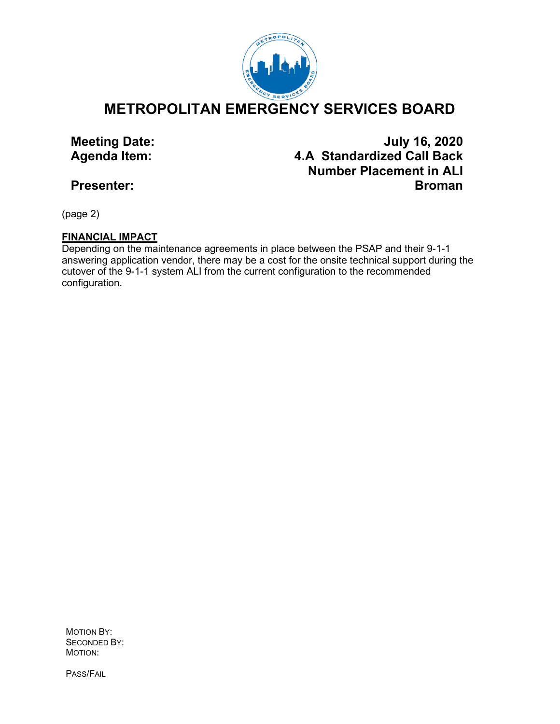

**METROPOLITAN EMERGENCY SERVICES BOARD**

**Meeting Date:** July 16, 2020<br>Agenda Item: **Alternative A.A Standardized Call Back Agenda Item: 4.A Standardized Call Back Number Placement in ALI Presenter: Broman**

(page 2)

# **FINANCIAL IMPACT**

Depending on the maintenance agreements in place between the PSAP and their 9-1-1 answering application vendor, there may be a cost for the onsite technical support during the cutover of the 9-1-1 system ALI from the current configuration to the recommended configuration.

MOTION BY: SECONDED BY: MOTION:

PASS/FAIL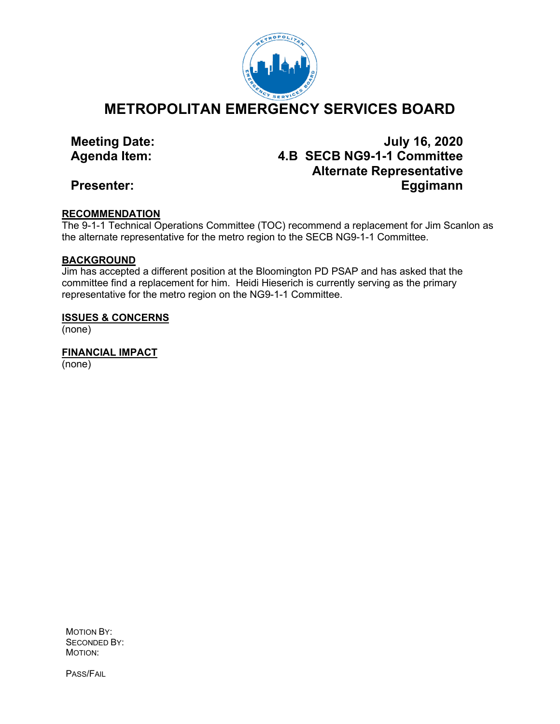

**METROPOLITAN EMERGENCY SERVICES BOARD**

# **Meeting Date: July 16, 2020 Agenda Item: 4.B SECB NG9-1-1 Committee Alternate Representative Presenter: Eggimann**

### **RECOMMENDATION**

The 9-1-1 Technical Operations Committee (TOC) recommend a replacement for Jim Scanlon as the alternate representative for the metro region to the SECB NG9-1-1 Committee.

### **BACKGROUND**

Jim has accepted a different position at the Bloomington PD PSAP and has asked that the committee find a replacement for him. Heidi Hieserich is currently serving as the primary representative for the metro region on the NG9-1-1 Committee.

### **ISSUES & CONCERNS**

(none)

**FINANCIAL IMPACT** (none)

MOTION BY: SECONDED BY: MOTION:

PASS/FAIL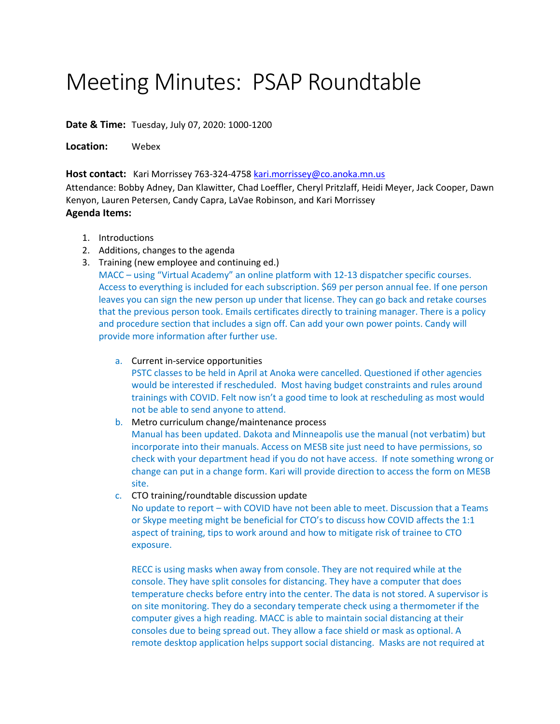# Meeting Minutes: PSAP Roundtable

**Date & Time:** Tuesday, July 07, 2020: 1000-1200

**Location:** Webex

Host contact: Kari Morrissey 763-324-4758 [kari.morrissey@co.anoka.mn.us](mailto:kari.morrissey@co.anoka.mn.us)

Attendance: Bobby Adney, Dan Klawitter, Chad Loeffler, Cheryl Pritzlaff, Heidi Meyer, Jack Cooper, Dawn Kenyon, Lauren Petersen, Candy Capra, LaVae Robinson, and Kari Morrissey **Agenda Items:**

- 1. Introductions
- 2. Additions, changes to the agenda
- 3. Training (new employee and continuing ed.) MACC – using "Virtual Academy" an online platform with 12-13 dispatcher specific courses. Access to everything is included for each subscription. \$69 per person annual fee. If one person leaves you can sign the new person up under that license. They can go back and retake courses that the previous person took. Emails certificates directly to training manager. There is a policy and procedure section that includes a sign off. Can add your own power points. Candy will provide more information after further use.
	- a. Current in-service opportunities PSTC classes to be held in April at Anoka were cancelled. Questioned if other agencies would be interested if rescheduled. Most having budget constraints and rules around trainings with COVID. Felt now isn't a good time to look at rescheduling as most would not be able to send anyone to attend.
	- b. Metro curriculum change/maintenance process Manual has been updated. Dakota and Minneapolis use the manual (not verbatim) but incorporate into their manuals. Access on MESB site just need to have permissions, so check with your department head if you do not have access. If note something wrong or change can put in a change form. Kari will provide direction to access the form on MESB site.
	- c. CTO training/roundtable discussion update

No update to report – with COVID have not been able to meet. Discussion that a Teams or Skype meeting might be beneficial for CTO's to discuss how COVID affects the 1:1 aspect of training, tips to work around and how to mitigate risk of trainee to CTO exposure.

RECC is using masks when away from console. They are not required while at the console. They have split consoles for distancing. They have a computer that does temperature checks before entry into the center. The data is not stored. A supervisor is on site monitoring. They do a secondary temperate check using a thermometer if the computer gives a high reading. MACC is able to maintain social distancing at their consoles due to being spread out. They allow a face shield or mask as optional. A remote desktop application helps support social distancing. Masks are not required at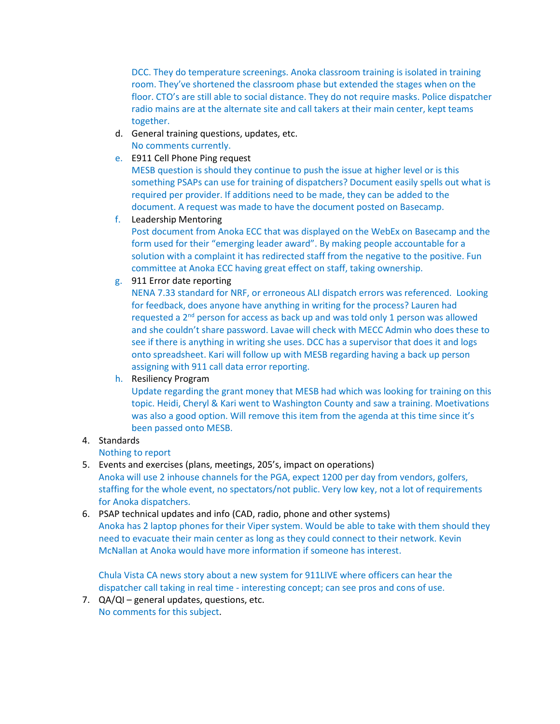DCC. They do temperature screenings. Anoka classroom training is isolated in training room. They've shortened the classroom phase but extended the stages when on the floor. CTO's are still able to social distance. They do not require masks. Police dispatcher radio mains are at the alternate site and call takers at their main center, kept teams together.

- d. General training questions, updates, etc. No comments currently.
- e. E911 Cell Phone Ping request

MESB question is should they continue to push the issue at higher level or is this something PSAPs can use for training of dispatchers? Document easily spells out what is required per provider. If additions need to be made, they can be added to the document. A request was made to have the document posted on Basecamp.

f. Leadership Mentoring

Post document from Anoka ECC that was displayed on the WebEx on Basecamp and the form used for their "emerging leader award". By making people accountable for a solution with a complaint it has redirected staff from the negative to the positive. Fun committee at Anoka ECC having great effect on staff, taking ownership.

g. 911 Error date reporting

NENA 7.33 standard for NRF, or erroneous ALI dispatch errors was referenced. Looking for feedback, does anyone have anything in writing for the process? Lauren had requested a  $2<sup>nd</sup>$  person for access as back up and was told only 1 person was allowed and she couldn't share password. Lavae will check with MECC Admin who does these to see if there is anything in writing she uses. DCC has a supervisor that does it and logs onto spreadsheet. Kari will follow up with MESB regarding having a back up person assigning with 911 call data error reporting.

h. Resiliency Program

Update regarding the grant money that MESB had which was looking for training on this topic. Heidi, Cheryl & Kari went to Washington County and saw a training. Moetivations was also a good option. Will remove this item from the agenda at this time since it's been passed onto MESB.

4. Standards

Nothing to report

5. Events and exercises (plans, meetings, 205's, impact on operations)

Anoka will use 2 inhouse channels for the PGA, expect 1200 per day from vendors, golfers, staffing for the whole event, no spectators/not public. Very low key, not a lot of requirements for Anoka dispatchers.

6. PSAP technical updates and info (CAD, radio, phone and other systems) Anoka has 2 laptop phones for their Viper system. Would be able to take with them should they need to evacuate their main center as long as they could connect to their network. Kevin McNallan at Anoka would have more information if someone has interest.

Chula Vista CA news story about a new system for 911LIVE where officers can hear the dispatcher call taking in real time - interesting concept; can see pros and cons of use.

7. QA/QI – general updates, questions, etc. No comments for this subject.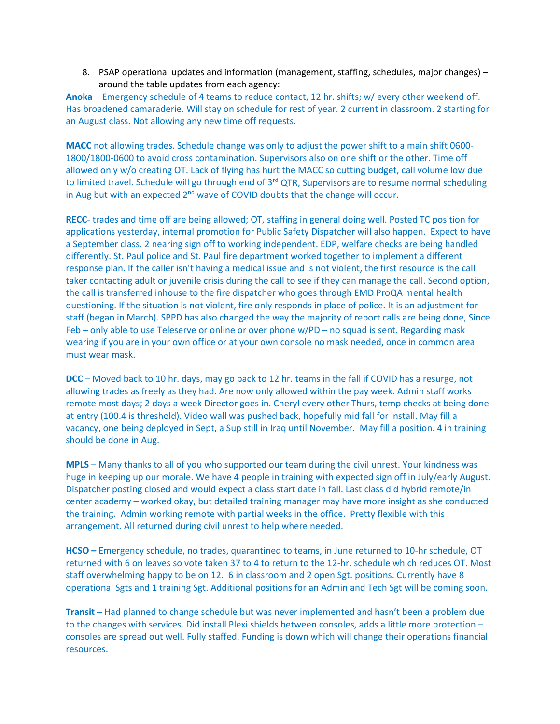8. PSAP operational updates and information (management, staffing, schedules, major changes) – around the table updates from each agency:

**Anoka** – Emergency schedule of 4 teams to reduce contact, 12 hr. shifts; w/ every other weekend off. Has broadened camaraderie. Will stay on schedule for rest of year. 2 current in classroom. 2 starting for an August class. Not allowing any new time off requests.

**MACC** not allowing trades. Schedule change was only to adjust the power shift to a main shift 0600- 1800/1800-0600 to avoid cross contamination. Supervisors also on one shift or the other. Time off allowed only w/o creating OT. Lack of flying has hurt the MACC so cutting budget, call volume low due to limited travel. Schedule will go through end of 3<sup>rd</sup> QTR, Supervisors are to resume normal scheduling in Aug but with an expected  $2<sup>nd</sup>$  wave of COVID doubts that the change will occur.

**RECC**- trades and time off are being allowed; OT, staffing in general doing well. Posted TC position for applications yesterday, internal promotion for Public Safety Dispatcher will also happen. Expect to have a September class. 2 nearing sign off to working independent. EDP, welfare checks are being handled differently. St. Paul police and St. Paul fire department worked together to implement a different response plan. If the caller isn't having a medical issue and is not violent, the first resource is the call taker contacting adult or juvenile crisis during the call to see if they can manage the call. Second option, the call is transferred inhouse to the fire dispatcher who goes through EMD ProQA mental health questioning. If the situation is not violent, fire only responds in place of police. It is an adjustment for staff (began in March). SPPD has also changed the way the majority of report calls are being done, Since Feb – only able to use Teleserve or online or over phone w/PD – no squad is sent. Regarding mask wearing if you are in your own office or at your own console no mask needed, once in common area must wear mask.

**DCC** – Moved back to 10 hr. days, may go back to 12 hr. teams in the fall if COVID has a resurge, not allowing trades as freely as they had. Are now only allowed within the pay week. Admin staff works remote most days; 2 days a week Director goes in. Cheryl every other Thurs, temp checks at being done at entry (100.4 is threshold). Video wall was pushed back, hopefully mid fall for install. May fill a vacancy, one being deployed in Sept, a Sup still in Iraq until November. May fill a position. 4 in training should be done in Aug.

**MPLS** – Many thanks to all of you who supported our team during the civil unrest. Your kindness was huge in keeping up our morale. We have 4 people in training with expected sign off in July/early August. Dispatcher posting closed and would expect a class start date in fall. Last class did hybrid remote/in center academy – worked okay, but detailed training manager may have more insight as she conducted the training. Admin working remote with partial weeks in the office. Pretty flexible with this arrangement. All returned during civil unrest to help where needed.

**HCSO –** Emergency schedule, no trades, quarantined to teams, in June returned to 10-hr schedule, OT returned with 6 on leaves so vote taken 37 to 4 to return to the 12-hr. schedule which reduces OT. Most staff overwhelming happy to be on 12. 6 in classroom and 2 open Sgt. positions. Currently have 8 operational Sgts and 1 training Sgt. Additional positions for an Admin and Tech Sgt will be coming soon.

**Transit** – Had planned to change schedule but was never implemented and hasn't been a problem due to the changes with services. Did install Plexi shields between consoles, adds a little more protection – consoles are spread out well. Fully staffed. Funding is down which will change their operations financial resources.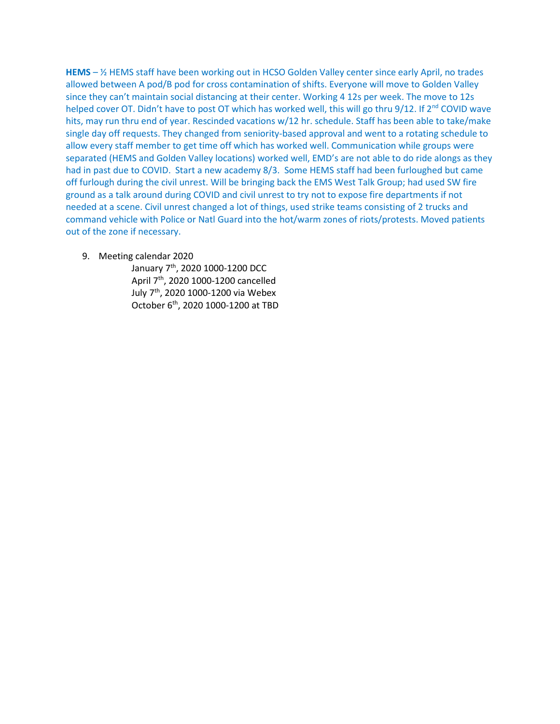**HEMS** – ½ HEMS staff have been working out in HCSO Golden Valley center since early April, no trades allowed between A pod/B pod for cross contamination of shifts. Everyone will move to Golden Valley since they can't maintain social distancing at their center. Working 4 12s per week. The move to 12s helped cover OT. Didn't have to post OT which has worked well, this will go thru 9/12. If 2<sup>nd</sup> COVID wave hits, may run thru end of year. Rescinded vacations w/12 hr. schedule. Staff has been able to take/make single day off requests. They changed from seniority-based approval and went to a rotating schedule to allow every staff member to get time off which has worked well. Communication while groups were separated (HEMS and Golden Valley locations) worked well, EMD's are not able to do ride alongs as they had in past due to COVID. Start a new academy 8/3. Some HEMS staff had been furloughed but came off furlough during the civil unrest. Will be bringing back the EMS West Talk Group; had used SW fire ground as a talk around during COVID and civil unrest to try not to expose fire departments if not needed at a scene. Civil unrest changed a lot of things, used strike teams consisting of 2 trucks and command vehicle with Police or Natl Guard into the hot/warm zones of riots/protests. Moved patients out of the zone if necessary.

9. Meeting calendar 2020

January 7<sup>th</sup>, 2020 1000-1200 DCC April 7th, 2020 1000-1200 cancelled July 7th, 2020 1000-1200 via Webex October 6th, 2020 1000-1200 at TBD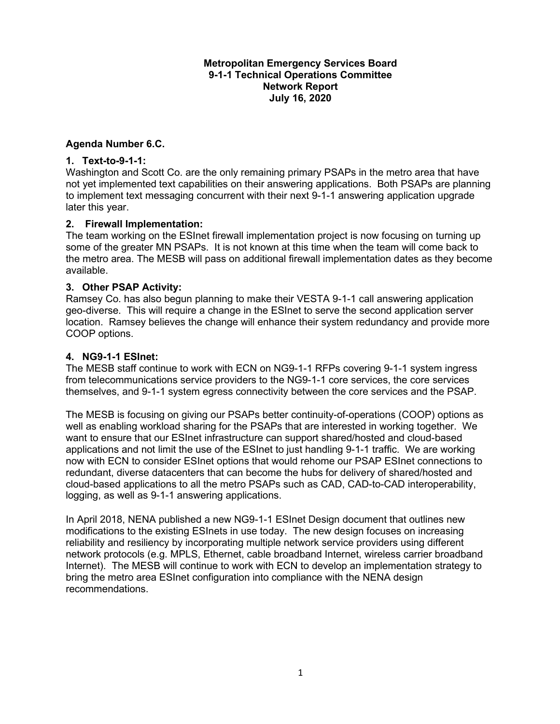### **Metropolitan Emergency Services Board 9-1-1 Technical Operations Committee Network Report July 16, 2020**

### **Agenda Number 6.C.**

### **1. Text-to-9-1-1:**

Washington and Scott Co. are the only remaining primary PSAPs in the metro area that have not yet implemented text capabilities on their answering applications. Both PSAPs are planning to implement text messaging concurrent with their next 9-1-1 answering application upgrade later this year.

### **2. Firewall Implementation:**

The team working on the ESInet firewall implementation project is now focusing on turning up some of the greater MN PSAPs. It is not known at this time when the team will come back to the metro area. The MESB will pass on additional firewall implementation dates as they become available.

### **3. Other PSAP Activity:**

Ramsey Co. has also begun planning to make their VESTA 9-1-1 call answering application geo-diverse. This will require a change in the ESInet to serve the second application server location. Ramsey believes the change will enhance their system redundancy and provide more COOP options.

### **4. NG9-1-1 ESInet:**

The MESB staff continue to work with ECN on NG9-1-1 RFPs covering 9-1-1 system ingress from telecommunications service providers to the NG9-1-1 core services, the core services themselves, and 9-1-1 system egress connectivity between the core services and the PSAP.

The MESB is focusing on giving our PSAPs better continuity-of-operations (COOP) options as well as enabling workload sharing for the PSAPs that are interested in working together. We want to ensure that our ESInet infrastructure can support shared/hosted and cloud-based applications and not limit the use of the ESInet to just handling 9-1-1 traffic. We are working now with ECN to consider ESInet options that would rehome our PSAP ESInet connections to redundant, diverse datacenters that can become the hubs for delivery of shared/hosted and cloud-based applications to all the metro PSAPs such as CAD, CAD-to-CAD interoperability, logging, as well as 9-1-1 answering applications.

In April 2018, NENA published a new NG9-1-1 ESInet Design document that outlines new modifications to the existing ESInets in use today. The new design focuses on increasing reliability and resiliency by incorporating multiple network service providers using different network protocols (e.g. MPLS, Ethernet, cable broadband Internet, wireless carrier broadband Internet). The MESB will continue to work with ECN to develop an implementation strategy to bring the metro area ESInet configuration into compliance with the NENA design recommendations.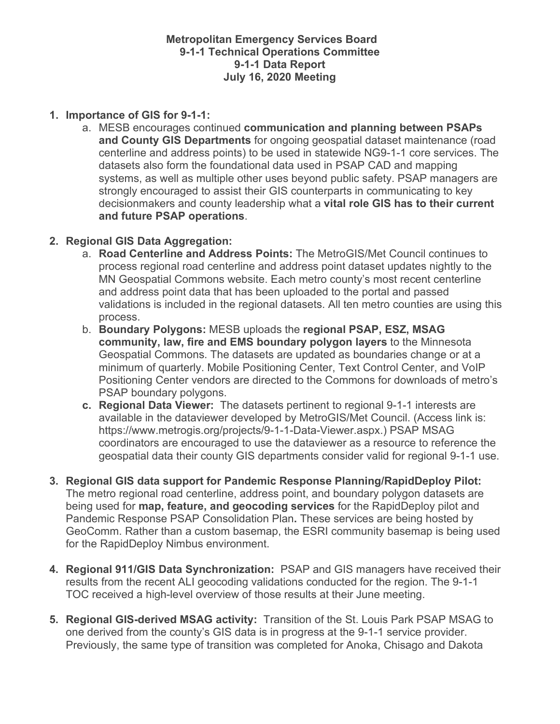**Metropolitan Emergency Services Board 9-1-1 Technical Operations Committee 9-1-1 Data Report July 16, 2020 Meeting**

### **1. Importance of GIS for 9-1-1:**

a. MESB encourages continued **communication and planning between PSAPs and County GIS Departments** for ongoing geospatial dataset maintenance (road centerline and address points) to be used in statewide NG9-1-1 core services. The datasets also form the foundational data used in PSAP CAD and mapping systems, as well as multiple other uses beyond public safety. PSAP managers are strongly encouraged to assist their GIS counterparts in communicating to key decisionmakers and county leadership what a **vital role GIS has to their current and future PSAP operations**.

### **2. Regional GIS Data Aggregation:**

- a. **Road Centerline and Address Points:** The MetroGIS/Met Council continues to process regional road centerline and address point dataset updates nightly to the MN Geospatial Commons website. Each metro county's most recent centerline and address point data that has been uploaded to the portal and passed validations is included in the regional datasets. All ten metro counties are using this process.
- b. **Boundary Polygons:** MESB uploads the **regional PSAP, ESZ, MSAG community, law, fire and EMS boundary polygon layers** to the Minnesota Geospatial Commons. The datasets are updated as boundaries change or at a minimum of quarterly. Mobile Positioning Center, Text Control Center, and VoIP Positioning Center vendors are directed to the Commons for downloads of metro's PSAP boundary polygons.
- **c. Regional Data Viewer:** The datasets pertinent to regional 9-1-1 interests are available in the dataviewer developed by MetroGIS/Met Council. (Access link is: https://www.metrogis.org/projects/9-1-1-Data-Viewer.aspx.) PSAP MSAG coordinators are encouraged to use the dataviewer as a resource to reference the geospatial data their county GIS departments consider valid for regional 9-1-1 use.
- **3. Regional GIS data support for Pandemic Response Planning/RapidDeploy Pilot:**  The metro regional road centerline, address point, and boundary polygon datasets are being used for **map, feature, and geocoding services** for the RapidDeploy pilot and Pandemic Response PSAP Consolidation Plan**.** These services are being hosted by GeoComm. Rather than a custom basemap, the ESRI community basemap is being used for the RapidDeploy Nimbus environment.
- **4. Regional 911/GIS Data Synchronization:** PSAP and GIS managers have received their results from the recent ALI geocoding validations conducted for the region. The 9-1-1 TOC received a high-level overview of those results at their June meeting.
- **5. Regional GIS-derived MSAG activity:** Transition of the St. Louis Park PSAP MSAG to one derived from the county's GIS data is in progress at the 9-1-1 service provider. Previously, the same type of transition was completed for Anoka, Chisago and Dakota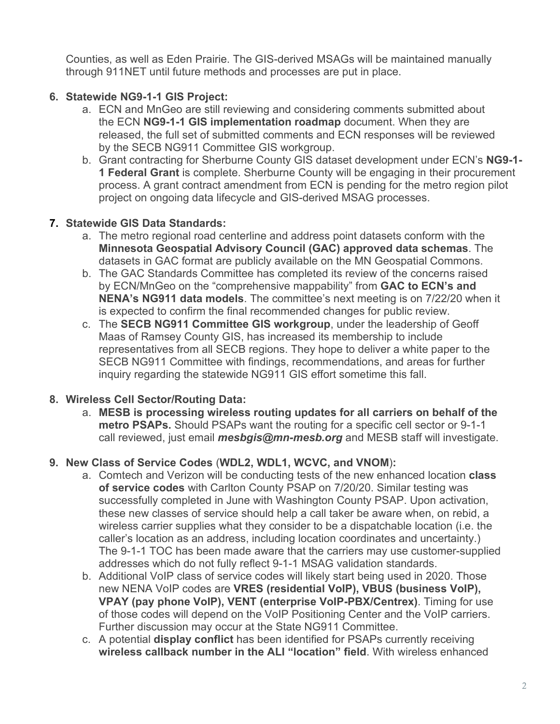Counties, as well as Eden Prairie. The GIS-derived MSAGs will be maintained manually through 911NET until future methods and processes are put in place.

# **6. Statewide NG9-1-1 GIS Project:**

- a. ECN and MnGeo are still reviewing and considering comments submitted about the ECN **NG9-1-1 GIS implementation roadmap** document. When they are released, the full set of submitted comments and ECN responses will be reviewed by the SECB NG911 Committee GIS workgroup.
- b. Grant contracting for Sherburne County GIS dataset development under ECN's **NG9-1- 1 Federal Grant** is complete. Sherburne County will be engaging in their procurement process. A grant contract amendment from ECN is pending for the metro region pilot project on ongoing data lifecycle and GIS-derived MSAG processes.

# **7. Statewide GIS Data Standards:**

- a. The metro regional road centerline and address point datasets conform with the **Minnesota Geospatial Advisory Council (GAC) approved data schemas**. The datasets in GAC format are publicly available on the MN Geospatial Commons.
- b. The GAC Standards Committee has completed its review of the concerns raised by ECN/MnGeo on the "comprehensive mappability" from **GAC to ECN's and NENA's NG911 data models**. The committee's next meeting is on 7/22/20 when it is expected to confirm the final recommended changes for public review.
- c. The **SECB NG911 Committee GIS workgroup**, under the leadership of Geoff Maas of Ramsey County GIS, has increased its membership to include representatives from all SECB regions. They hope to deliver a white paper to the SECB NG911 Committee with findings, recommendations, and areas for further inquiry regarding the statewide NG911 GIS effort sometime this fall.

# **8. Wireless Cell Sector/Routing Data:**

a. **MESB is processing wireless routing updates for all carriers on behalf of the metro PSAPs.** Should PSAPs want the routing for a specific cell sector or 9-1-1 call reviewed, just email *mesbgis@mn-mesb.org* and MESB staff will investigate.

# **9. New Class of Service Codes** (**WDL2, WDL1, WCVC, and VNOM**)**:**

- a. Comtech and Verizon will be conducting tests of the new enhanced location **class of service codes** with Carlton County PSAP on 7/20/20. Similar testing was successfully completed in June with Washington County PSAP. Upon activation, these new classes of service should help a call taker be aware when, on rebid, a wireless carrier supplies what they consider to be a dispatchable location (i.e. the caller's location as an address, including location coordinates and uncertainty.) The 9-1-1 TOC has been made aware that the carriers may use customer-supplied addresses which do not fully reflect 9-1-1 MSAG validation standards.
- b. Additional VoIP class of service codes will likely start being used in 2020. Those new NENA VoIP codes are **VRES (residential VoIP), VBUS (business VoIP), VPAY (pay phone VoIP), VENT (enterprise VoIP-PBX/Centrex)**. Timing for use of those codes will depend on the VoIP Positioning Center and the VoIP carriers. Further discussion may occur at the State NG911 Committee.
- c. A potential **display conflict** has been identified for PSAPs currently receiving **wireless callback number in the ALI "location" field**. With wireless enhanced